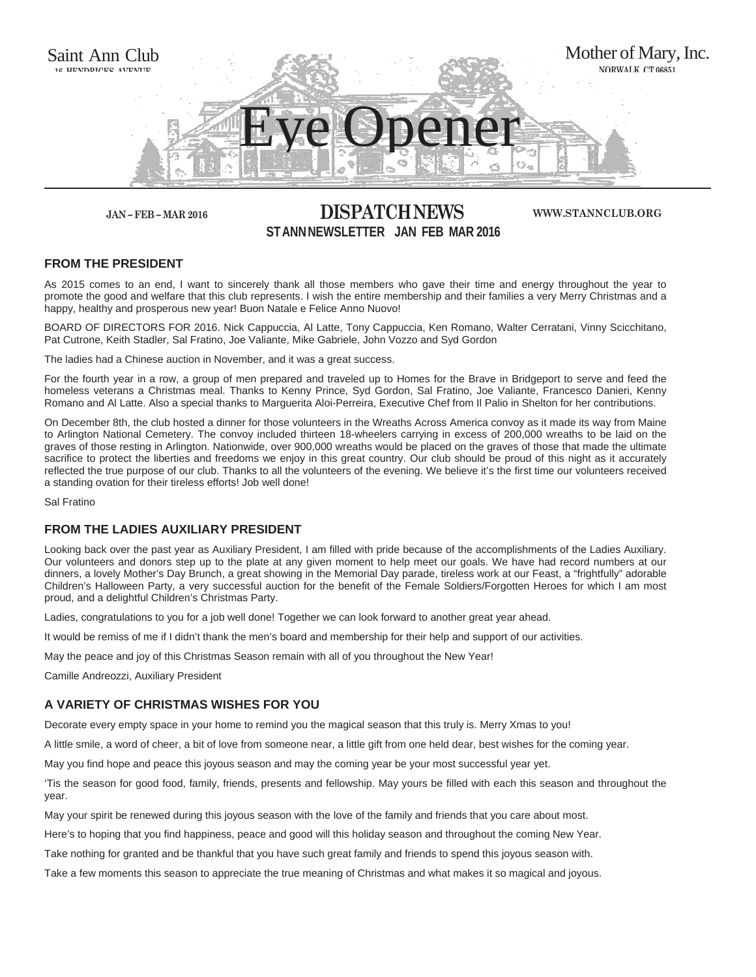

# **JAN – FEB – MAR 2016 DISPATCH NEWS ST ANN NEWSLETTER JAN FEB MAR 2016**

#### **WWW.STANNCLUB.ORG**

## **FROM THE PRESIDENT**

As 2015 comes to an end, I want to sincerely thank all those members who gave their time and energy throughout the year to promote the good and welfare that this club represents. I wish the entire membership and their families a very Merry Christmas and a happy, healthy and prosperous new year! Buon Natale e Felice Anno Nuovo!

BOARD OF DIRECTORS FOR 2016. Nick Cappuccia, Al Latte, Tony Cappuccia, Ken Romano, Walter Cerratani, Vinny Scicchitano, Pat Cutrone, Keith Stadler, Sal Fratino, Joe Valiante, Mike Gabriele, John Vozzo and Syd Gordon

The ladies had a Chinese auction in November, and it was a great success.

For the fourth year in a row, a group of men prepared and traveled up to Homes for the Brave in Bridgeport to serve and feed the homeless veterans a Christmas meal. Thanks to Kenny Prince, Syd Gordon, Sal Fratino, Joe Valiante, Francesco Danieri, Kenny Romano and Al Latte. Also a special thanks to Marguerita Aloi-Perreira, Executive Chef from Il Palio in Shelton for her contributions.

On December 8th, the club hosted a dinner for those volunteers in the Wreaths Across America convoy as it made its way from Maine to Arlington National Cemetery. The convoy included thirteen 18-wheelers carrying in excess of 200,000 wreaths to be laid on the graves of those resting in Arlington. Nationwide, over 900,000 wreaths would be placed on the graves of those that made the ultimate sacrifice to protect the liberties and freedoms we enjoy in this great country. Our club should be proud of this night as it accurately reflected the true purpose of our club. Thanks to all the volunteers of the evening. We believe it's the first time our volunteers received a standing ovation for their tireless efforts! Job well done!

Sal Fratino

# **FROM THE LADIES AUXILIARY PRESIDENT**

Looking back over the past year as Auxiliary President, I am filled with pride because of the accomplishments of the Ladies Auxiliary. Our volunteers and donors step up to the plate at any given moment to help meet our goals. We have had record numbers at our dinners, a lovely Mother's Day Brunch, a great showing in the Memorial Day parade, tireless work at our Feast, a "frightfully" adorable Children's Halloween Party, a very successful auction for the benefit of the Female Soldiers/Forgotten Heroes for which I am most proud, and a delightful Children's Christmas Party.

Ladies, congratulations to you for a job well done! Together we can look forward to another great year ahead.

It would be remiss of me if I didn't thank the men's board and membership for their help and support of our activities.

May the peace and joy of this Christmas Season remain with all of you throughout the New Year!

Camille Andreozzi, Auxiliary President

## **A VARIETY OF CHRISTMAS WISHES FOR YOU**

Decorate every empty space in your home to remind you the magical season that this truly is. Merry Xmas to you!

A little smile, a word of cheer, a bit of love from someone near, a little gift from one held dear, best wishes for the coming year.

May you find hope and peace this joyous season and may the coming year be your most successful year yet.

'Tis the season for good food, family, friends, presents and fellowship. May yours be filled with each this season and throughout the year.

May your spirit be renewed during this joyous season with the love of the family and friends that you care about most.

Here's to hoping that you find happiness, peace and good will this holiday season and throughout the coming New Year.

Take nothing for granted and be thankful that you have such great family and friends to spend this joyous season with.

Take a few moments this season to appreciate the true meaning of Christmas and what makes it so magical and joyous.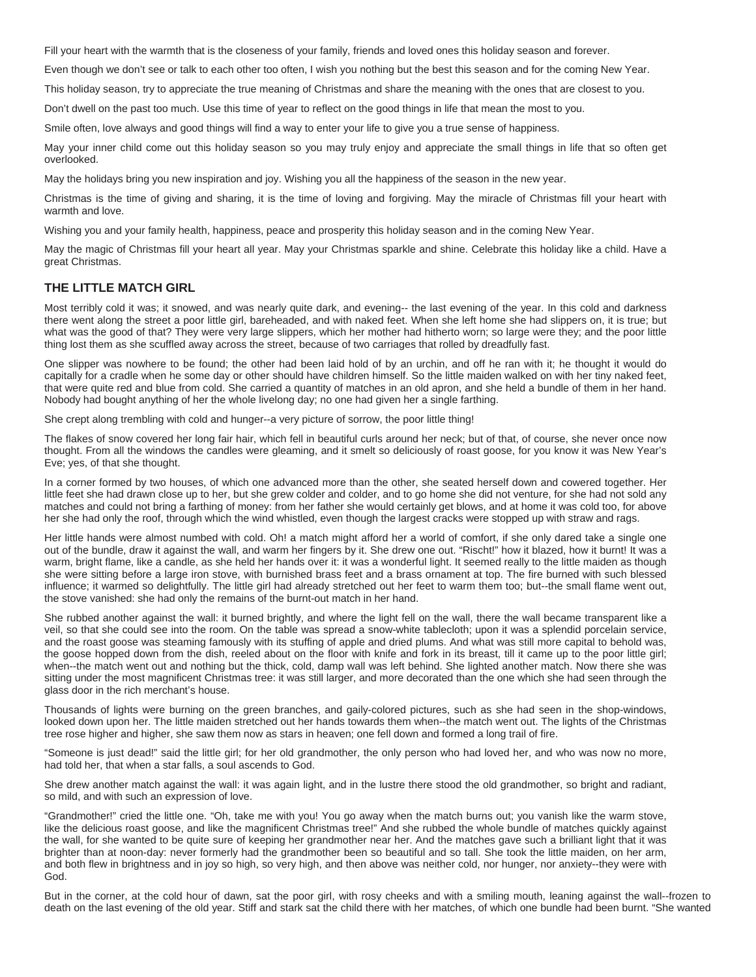Fill your heart with the warmth that is the closeness of your family, friends and loved ones this holiday season and forever.

Even though we don't see or talk to each other too often, I wish you nothing but the best this season and for the coming New Year.

This holiday season, try to appreciate the true meaning of Christmas and share the meaning with the ones that are closest to you.

Don't dwell on the past too much. Use this time of year to reflect on the good things in life that mean the most to you.

Smile often, love always and good things will find a way to enter your life to give you a true sense of happiness.

May your inner child come out this holiday season so you may truly enjoy and appreciate the small things in life that so often get overlooked.

May the holidays bring you new inspiration and joy. Wishing you all the happiness of the season in the new year.

Christmas is the time of giving and sharing, it is the time of loving and forgiving. May the miracle of Christmas fill your heart with warmth and love.

Wishing you and your family health, happiness, peace and prosperity this holiday season and in the coming New Year.

May the magic of Christmas fill your heart all year. May your Christmas sparkle and shine. Celebrate this holiday like a child. Have a great Christmas.

## **THE LITTLE MATCH GIRL**

Most terribly cold it was; it snowed, and was nearly quite dark, and evening-- the last evening of the year. In this cold and darkness there went along the street a poor little girl, bareheaded, and with naked feet. When she left home she had slippers on, it is true; but what was the good of that? They were very large slippers, which her mother had hitherto worn; so large were they; and the poor little thing lost them as she scuffled away across the street, because of two carriages that rolled by dreadfully fast.

One slipper was nowhere to be found; the other had been laid hold of by an urchin, and off he ran with it; he thought it would do capitally for a cradle when he some day or other should have children himself. So the little maiden walked on with her tiny naked feet, that were quite red and blue from cold. She carried a quantity of matches in an old apron, and she held a bundle of them in her hand. Nobody had bought anything of her the whole livelong day; no one had given her a single farthing.

She crept along trembling with cold and hunger--a very picture of sorrow, the poor little thing!

The flakes of snow covered her long fair hair, which fell in beautiful curls around her neck; but of that, of course, she never once now thought. From all the windows the candles were gleaming, and it smelt so deliciously of roast goose, for you know it was New Year's Eve; yes, of that she thought.

In a corner formed by two houses, of which one advanced more than the other, she seated herself down and cowered together. Her little feet she had drawn close up to her, but she grew colder and colder, and to go home she did not venture, for she had not sold any matches and could not bring a farthing of money: from her father she would certainly get blows, and at home it was cold too, for above her she had only the roof, through which the wind whistled, even though the largest cracks were stopped up with straw and rags.

Her little hands were almost numbed with cold. Oh! a match might afford her a world of comfort, if she only dared take a single one out of the bundle, draw it against the wall, and warm her fingers by it. She drew one out. "Rischt!" how it blazed, how it burnt! It was a warm, bright flame, like a candle, as she held her hands over it: it was a wonderful light. It seemed really to the little maiden as though she were sitting before a large iron stove, with burnished brass feet and a brass ornament at top. The fire burned with such blessed influence; it warmed so delightfully. The little girl had already stretched out her feet to warm them too; but--the small flame went out, the stove vanished: she had only the remains of the burnt-out match in her hand.

She rubbed another against the wall: it burned brightly, and where the light fell on the wall, there the wall became transparent like a veil, so that she could see into the room. On the table was spread a snow-white tablecloth; upon it was a splendid porcelain service, and the roast goose was steaming famously with its stuffing of apple and dried plums. And what was still more capital to behold was, the goose hopped down from the dish, reeled about on the floor with knife and fork in its breast, till it came up to the poor little girl; when--the match went out and nothing but the thick, cold, damp wall was left behind. She lighted another match. Now there she was sitting under the most magnificent Christmas tree: it was still larger, and more decorated than the one which she had seen through the glass door in the rich merchant's house.

Thousands of lights were burning on the green branches, and gaily-colored pictures, such as she had seen in the shop-windows, looked down upon her. The little maiden stretched out her hands towards them when--the match went out. The lights of the Christmas tree rose higher and higher, she saw them now as stars in heaven; one fell down and formed a long trail of fire.

"Someone is just dead!" said the little girl; for her old grandmother, the only person who had loved her, and who was now no more, had told her, that when a star falls, a soul ascends to God.

She drew another match against the wall: it was again light, and in the lustre there stood the old grandmother, so bright and radiant, so mild, and with such an expression of love.

"Grandmother!" cried the little one. "Oh, take me with you! You go away when the match burns out; you vanish like the warm stove, like the delicious roast goose, and like the magnificent Christmas tree!" And she rubbed the whole bundle of matches quickly against the wall, for she wanted to be quite sure of keeping her grandmother near her. And the matches gave such a brilliant light that it was brighter than at noon-day: never formerly had the grandmother been so beautiful and so tall. She took the little maiden, on her arm, and both flew in brightness and in joy so high, so very high, and then above was neither cold, nor hunger, nor anxiety--they were with God.

But in the corner, at the cold hour of dawn, sat the poor girl, with rosy cheeks and with a smiling mouth, leaning against the wall--frozen to death on the last evening of the old year. Stiff and stark sat the child there with her matches, of which one bundle had been burnt. "She wanted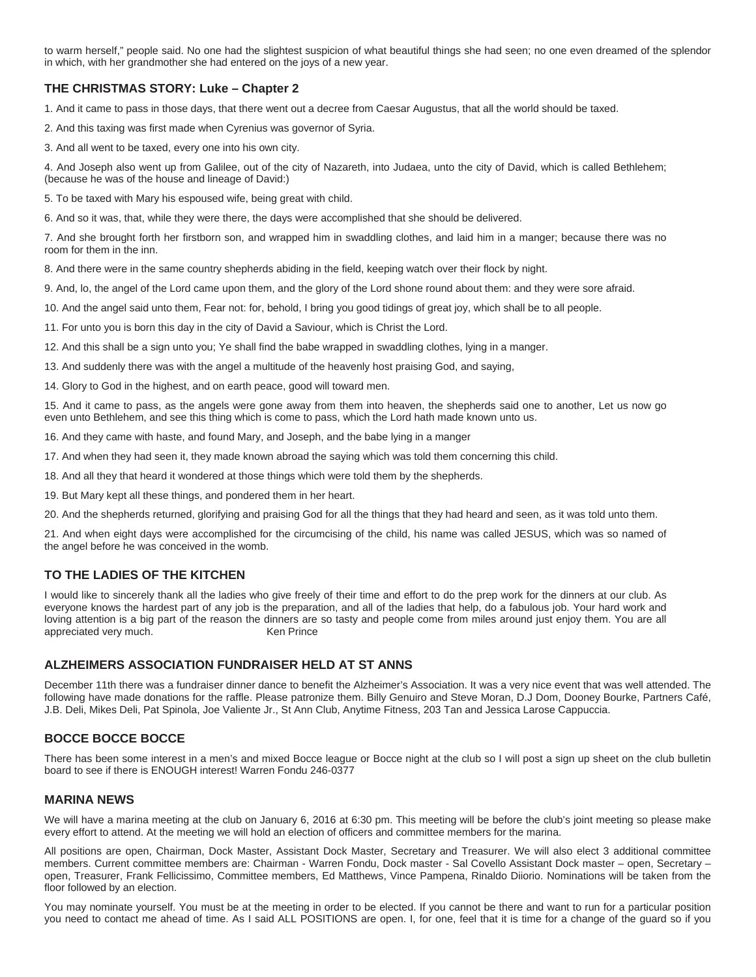to warm herself," people said. No one had the slightest suspicion of what beautiful things she had seen; no one even dreamed of the splendor in which, with her grandmother she had entered on the joys of a new year.

# **THE CHRISTMAS STORY: Luke – Chapter 2**

1. And it came to pass in those days, that there went out a decree from Caesar Augustus, that all the world should be taxed.

2. And this taxing was first made when Cyrenius was governor of Syria.

3. And all went to be taxed, every one into his own city.

4. And Joseph also went up from Galilee, out of the city of Nazareth, into Judaea, unto the city of David, which is called Bethlehem; (because he was of the house and lineage of David:)

5. To be taxed with Mary his espoused wife, being great with child.

6. And so it was, that, while they were there, the days were accomplished that she should be delivered.

7. And she brought forth her firstborn son, and wrapped him in swaddling clothes, and laid him in a manger; because there was no room for them in the inn.

8. And there were in the same country shepherds abiding in the field, keeping watch over their flock by night.

9. And, lo, the angel of the Lord came upon them, and the glory of the Lord shone round about them: and they were sore afraid.

10. And the angel said unto them, Fear not: for, behold, I bring you good tidings of great joy, which shall be to all people.

11. For unto you is born this day in the city of David a Saviour, which is Christ the Lord.

12. And this shall be a sign unto you; Ye shall find the babe wrapped in swaddling clothes, lying in a manger.

13. And suddenly there was with the angel a multitude of the heavenly host praising God, and saying,

14. Glory to God in the highest, and on earth peace, good will toward men.

15. And it came to pass, as the angels were gone away from them into heaven, the shepherds said one to another, Let us now go even unto Bethlehem, and see this thing which is come to pass, which the Lord hath made known unto us.

16. And they came with haste, and found Mary, and Joseph, and the babe lying in a manger

17. And when they had seen it, they made known abroad the saying which was told them concerning this child.

18. And all they that heard it wondered at those things which were told them by the shepherds.

19. But Mary kept all these things, and pondered them in her heart.

20. And the shepherds returned, glorifying and praising God for all the things that they had heard and seen, as it was told unto them.

21. And when eight days were accomplished for the circumcising of the child, his name was called JESUS, which was so named of the angel before he was conceived in the womb.

# **TO THE LADIES OF THE KITCHEN**

I would like to sincerely thank all the ladies who give freely of their time and effort to do the prep work for the dinners at our club. As everyone knows the hardest part of any job is the preparation, and all of the ladies that help, do a fabulous job. Your hard work and loving attention is a big part of the reason the dinners are so tasty and people come from miles around just enjoy them. You are all appreciated very much. The research of the Men Prince

## **ALZHEIMERS ASSOCIATION FUNDRAISER HELD AT ST ANNS**

December 11th there was a fundraiser dinner dance to benefit the Alzheimer's Association. It was a very nice event that was well attended. The following have made donations for the raffle. Please patronize them. Billy Genuiro and Steve Moran, D.J Dom, Dooney Bourke, Partners Café, J.B. Deli, Mikes Deli, Pat Spinola, Joe Valiente Jr., St Ann Club, Anytime Fitness, 203 Tan and Jessica Larose Cappuccia.

# **BOCCE BOCCE BOCCE**

There has been some interest in a men's and mixed Bocce league or Bocce night at the club so I will post a sign up sheet on the club bulletin board to see if there is ENOUGH interest! Warren Fondu 246-0377

## **MARINA NEWS**

We will have a marina meeting at the club on January 6, 2016 at 6:30 pm. This meeting will be before the club's joint meeting so please make every effort to attend. At the meeting we will hold an election of officers and committee members for the marina.

All positions are open, Chairman, Dock Master, Assistant Dock Master, Secretary and Treasurer. We will also elect 3 additional committee members. Current committee members are: Chairman - Warren Fondu, Dock master - Sal Covello Assistant Dock master – open, Secretary – open, Treasurer, Frank Fellicissimo, Committee members, Ed Matthews, Vince Pampena, Rinaldo Diiorio. Nominations will be taken from the floor followed by an election.

You may nominate yourself. You must be at the meeting in order to be elected. If you cannot be there and want to run for a particular position you need to contact me ahead of time. As I said ALL POSITIONS are open. I, for one, feel that it is time for a change of the guard so if you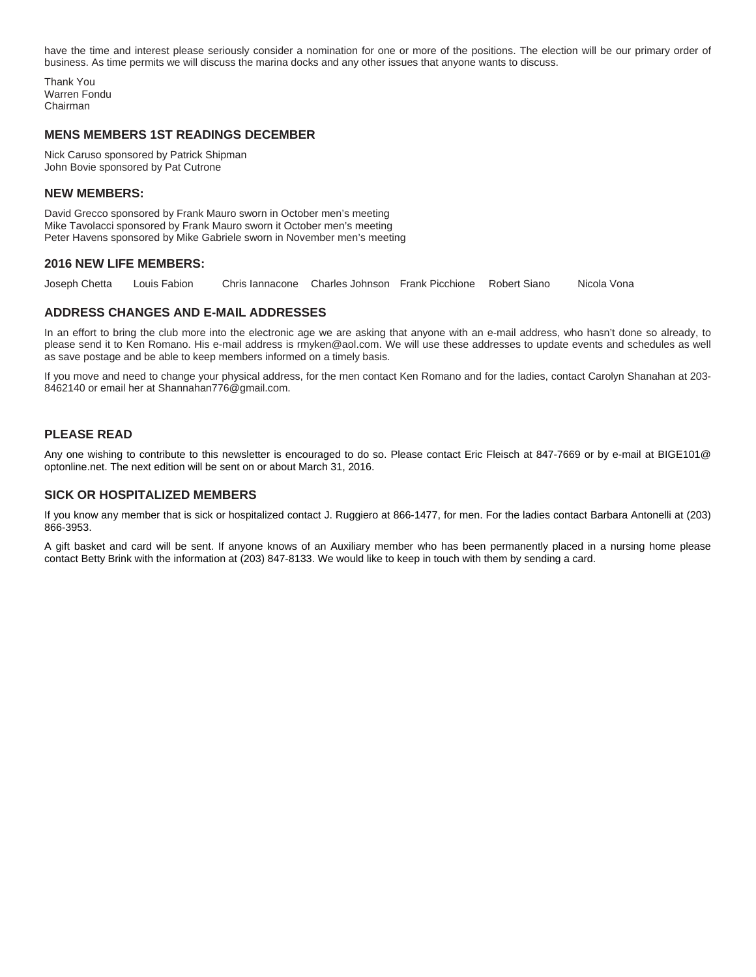have the time and interest please seriously consider a nomination for one or more of the positions. The election will be our primary order of business. As time permits we will discuss the marina docks and any other issues that anyone wants to discuss.

Thank You Warren Fondu Chairman

#### **MENS MEMBERS 1ST READINGS DECEMBER**

Nick Caruso sponsored by Patrick Shipman John Bovie sponsored by Pat Cutrone

#### **NEW MEMBERS:**

David Grecco sponsored by Frank Mauro sworn in October men's meeting Mike Tavolacci sponsored by Frank Mauro sworn it October men's meeting Peter Havens sponsored by Mike Gabriele sworn in November men's meeting

#### **2016 NEW LIFE MEMBERS:**

Joseph Chetta Louis Fabion Chris Iannacone Charles Johnson Frank Picchione Robert Siano Nicola Vona

## **ADDRESS CHANGES AND E-MAIL ADDRESSES**

In an effort to bring the club more into the electronic age we are asking that anyone with an e-mail address, who hasn't done so already, to please send it to Ken Romano. His e-mail address is rmyken@aol.com. We will use these addresses to update events and schedules as well as save postage and be able to keep members informed on a timely basis.

If you move and need to change your physical address, for the men contact Ken Romano and for the ladies, contact Carolyn Shanahan at 203- 8462140 or email her at Shannahan776@gmail.com.

## **PLEASE READ**

Any one wishing to contribute to this newsletter is encouraged to do so. Please contact Eric Fleisch at 847-7669 or by e-mail at BIGE101@ optonline.net. The next edition will be sent on or about March 31, 2016.

## **SICK OR HOSPITALIZED MEMBERS**

If you know any member that is sick or hospitalized contact J. Ruggiero at 866-1477, for men. For the ladies contact Barbara Antonelli at (203) 866-3953.

A gift basket and card will be sent. If anyone knows of an Auxiliary member who has been permanently placed in a nursing home please contact Betty Brink with the information at (203) 847-8133. We would like to keep in touch with them by sending a card.